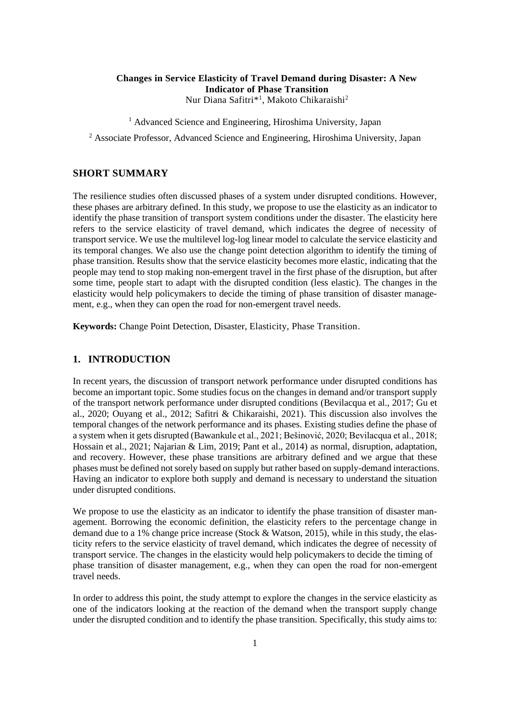## **Changes in Service Elasticity of Travel Demand during Disaster: A New Indicator of Phase Transition** Nur Diana Safitri\*<sup>1</sup>, Makoto Chikaraishi<sup>2</sup>

<sup>1</sup> Advanced Science and Engineering, Hiroshima University, Japan

<sup>2</sup> Associate Professor, Advanced Science and Engineering, Hiroshima University, Japan

### **SHORT SUMMARY**

The resilience studies often discussed phases of a system under disrupted conditions. However, these phases are arbitrary defined. In this study, we propose to use the elasticity as an indicator to identify the phase transition of transport system conditions under the disaster. The elasticity here refers to the service elasticity of travel demand, which indicates the degree of necessity of transport service. We use the multilevel log-log linear model to calculate the service elasticity and its temporal changes. We also use the change point detection algorithm to identify the timing of phase transition. Results show that the service elasticity becomes more elastic, indicating that the people may tend to stop making non-emergent travel in the first phase of the disruption, but after some time, people start to adapt with the disrupted condition (less elastic). The changes in the elasticity would help policymakers to decide the timing of phase transition of disaster management, e.g., when they can open the road for non-emergent travel needs.

**Keywords:** Change Point Detection, Disaster, Elasticity, Phase Transition.

## **1. INTRODUCTION**

In recent years, the discussion of transport network performance under disrupted conditions has become an important topic. Some studies focus on the changes in demand and/or transport supply of the transport network performance under disrupted conditions (Bevilacqua et al., 2017; Gu et al., 2020; Ouyang et al., 2012; Safitri & Chikaraishi, 2021). This discussion also involves the temporal changes of the network performance and its phases. Existing studies define the phase of a system when it gets disrupted (Bawankule et al., 2021; Bešinović, 2020; Bevilacqua et al., 2018; Hossain et al., 2021; Najarian & Lim, 2019; Pant et al., 2014) as normal, disruption, adaptation, and recovery. However, these phase transitions are arbitrary defined and we argue that these phases must be defined not sorely based on supply but rather based on supply-demand interactions. Having an indicator to explore both supply and demand is necessary to understand the situation under disrupted conditions.

We propose to use the elasticity as an indicator to identify the phase transition of disaster management. Borrowing the economic definition, the elasticity refers to the percentage change in demand due to a 1% change price increase (Stock & Watson, 2015), while in this study, the elasticity refers to the service elasticity of travel demand, which indicates the degree of necessity of transport service. The changes in the elasticity would help policymakers to decide the timing of phase transition of disaster management, e.g., when they can open the road for non-emergent travel needs.

In order to address this point, the study attempt to explore the changes in the service elasticity as one of the indicators looking at the reaction of the demand when the transport supply change under the disrupted condition and to identify the phase transition. Specifically, this study aims to: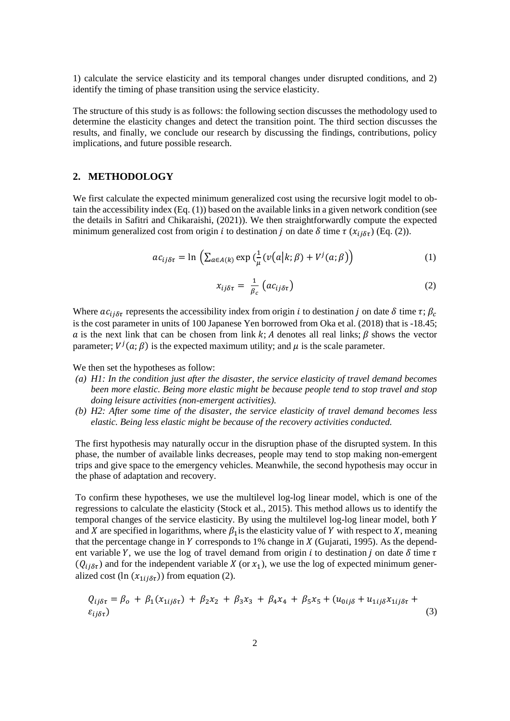1) calculate the service elasticity and its temporal changes under disrupted conditions, and 2) identify the timing of phase transition using the service elasticity.

The structure of this study is as follows: the following section discusses the methodology used to determine the elasticity changes and detect the transition point. The third section discusses the results, and finally, we conclude our research by discussing the findings, contributions, policy implications, and future possible research.

## **2. METHODOLOGY**

We first calculate the expected minimum generalized cost using the recursive logit model to obtain the accessibility index (Eq. (1)) based on the available links in a given network condition (see the details in Safitri and Chikaraishi, (2021)). We then straightforwardly compute the expected minimum generalized cost from origin *i* to destination *j* on date  $\delta$  time  $\tau$  ( $x_{ij\delta\tau}$ ) (Eq. (2)).

$$
ac_{ij\delta\tau} = \ln\left(\sum_{a \in A(k)} \exp\left(\frac{1}{\mu}(v(a|k;\beta) + V^j(a;\beta)\right)\right) \tag{1}
$$

$$
x_{ij\delta\tau} = \frac{1}{\beta_c} \left( a c_{ij\delta\tau} \right) \tag{2}
$$

Where  $ac_{ij\delta\tau}$  represents the accessibility index from origin *i* to destination *j* on date  $\delta$  time  $\tau$ ;  $\beta_c$ is the cost parameter in units of 100 Japanese Yen borrowed from Oka et al. (2018) that is -18.45; a is the next link that can be chosen from link k; A denotes all real links;  $\beta$  shows the vector parameter;  $V^{j}(a; \beta)$  is the expected maximum utility; and  $\mu$  is the scale parameter.

We then set the hypotheses as follow:

- *(a) H1: In the condition just after the disaster, the service elasticity of travel demand becomes been more elastic. Being more elastic might be because people tend to stop travel and stop doing leisure activities (non-emergent activities).*
- *(b) H2: After some time of the disaster, the service elasticity of travel demand becomes less elastic. Being less elastic might be because of the recovery activities conducted.*

The first hypothesis may naturally occur in the disruption phase of the disrupted system. In this phase, the number of available links decreases, people may tend to stop making non-emergent trips and give space to the emergency vehicles. Meanwhile, the second hypothesis may occur in the phase of adaptation and recovery.

To confirm these hypotheses, we use the multilevel log-log linear model, which is one of the regressions to calculate the elasticity (Stock et al., 2015). This method allows us to identify the temporal changes of the service elasticity. By using the multilevel log-log linear model, both and X are specified in logarithms, where  $\beta_1$  is the elasticity value of Y with respect to X, meaning that the percentage change in  $Y$  corresponds to 1% change in  $X$  (Gujarati, 1995). As the dependent variable Y, we use the log of travel demand from origin *i* to destination *j* on date  $\delta$  time  $\tau$  $(Q_{ij\delta\tau})$  and for the independent variable X (or  $x_1$ ), we use the log of expected minimum generalized cost (ln  $(x_{1ij\delta\tau})$ ) from equation (2).

$$
Q_{ij\delta\tau} = \beta_o + \beta_1(x_{1ij\delta\tau}) + \beta_2x_2 + \beta_3x_3 + \beta_4x_4 + \beta_5x_5 + (u_{0ij\delta} + u_{1ij\delta}x_{1ij\delta\tau} + \epsilon_{ij\delta\tau})
$$
\n(3)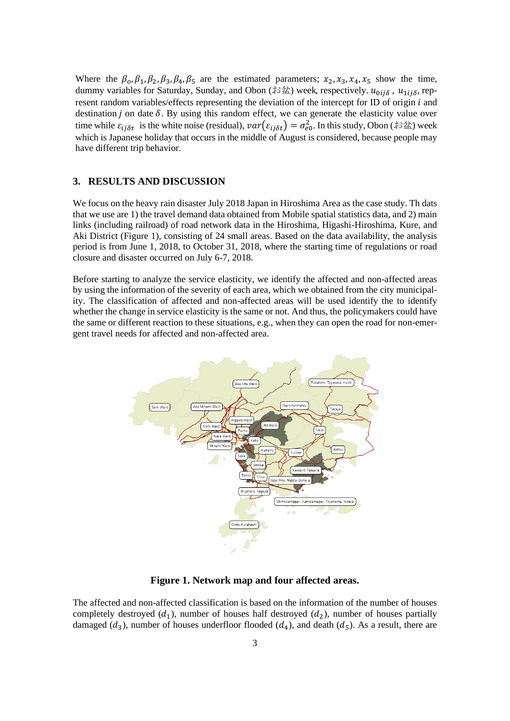Where the  $\beta_0$ ,  $\beta_1$ ,  $\beta_2$ ,  $\beta_3$ ,  $\beta_4$ ,  $\beta_5$  are the estimated parameters;  $x_2$ ,  $x_3$ ,  $x_4$ ,  $x_5$  show the time, dummy variables for Saturday, Sunday, and Obon (お盆) week, respectively.  $u_{0ij\delta}$ ,  $u_{1ij\delta}$ , represent random variables/effects representing the deviation of the intercept for ID of origin  $i$  and destination  $j$  on date  $\delta$ . By using this random effect, we can generate the elasticity value over time while  $\varepsilon_{ij\delta\tau}$  is the white noise (residual),  $var(\varepsilon_{ij\delta t}) = \sigma_{e0}^2$ . In this study, Obon (お盆) week which is Japanese holiday that occurs in the middle of August is considered, because people may have different trip behavior.

### **3. RESULTS AND DISCUSSION**

We focus on the heavy rain disaster July 2018 Japan in Hiroshima Area as the case study. Th dats that we use are 1) the travel demand data obtained from Mobile spatial statistics data, and 2) main links (including railroad) of road network data in the Hiroshima, Higashi-Hiroshima, Kure, and Aki District (Figure 1), consisting of 24 small areas. Based on the data availability, the analysis period is from June 1, 2018, to October 31, 2018, where the starting time of regulations or road closure and disaster occurred on July 6-7, 2018.

Before starting to analyze the service elasticity, we identify the affected and non-affected areas by using the information of the severity of each area, which we obtained from the city municipality. The classification of affected and non-affected areas will be used identify the to identify whether the change in service elasticity is the same or not. And thus, the policymakers could have the same or different reaction to these situations, e.g., when they can open the road for non-emergent travel needs for affected and non-affected area.



**Figure 1. Network map and four affected areas.**

The affected and non-affected classification is based on the information of the number of houses completely destroyed  $(d_1)$ , number of houses half destroyed  $(d_2)$ , number of houses partially damaged  $(d_3)$ , number of houses underfloor flooded  $(d_4)$ , and death  $(d_5)$ . As a result, there are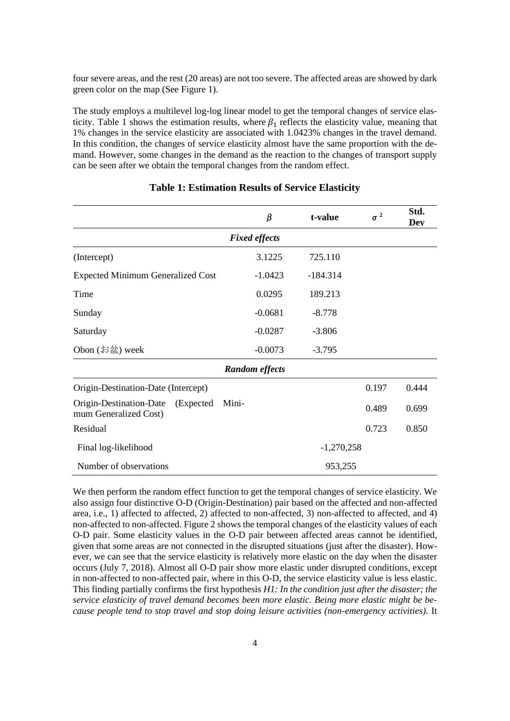four severe areas, and the rest (20 areas) are not too severe. The affected areas are showed by dark green color on the map (See Figure 1).

The study employs a multilevel log-log linear model to get the temporal changes of service elasticity. Table 1 shows the estimation results, where  $\beta_1$  reflects the elasticity value, meaning that 1% changes in the service elasticity are associated with 1.0423% changes in the travel demand. In this condition, the changes of service elasticity almost have the same proportion with the demand. However, some changes in the demand as the reaction to the changes of transport supply can be seen after we obtain the temporal changes from the random effect.

|                                                            | β                     | t-value      | $\sigma^2$ | Std.<br>Dev |
|------------------------------------------------------------|-----------------------|--------------|------------|-------------|
| <b>Fixed effects</b>                                       |                       |              |            |             |
| (Intercept)                                                | 3.1225                | 725.110      |            |             |
| <b>Expected Minimum Generalized Cost</b>                   | $-1.0423$             | $-184.314$   |            |             |
| Time                                                       | 0.0295                | 189.213      |            |             |
| Sunday                                                     | $-0.0681$             | $-8.778$     |            |             |
| Saturday                                                   | $-0.0287$             | $-3.806$     |            |             |
| Obon $(\text{#2})$ week                                    | $-0.0073$             | $-3.795$     |            |             |
|                                                            | <b>Random effects</b> |              |            |             |
| Origin-Destination-Date (Intercept)                        |                       |              | 0.197      | 0.444       |
| Origin-Destination-Date (Expected<br>mum Generalized Cost) | Mini-                 |              | 0.489      | 0.699       |
| Residual                                                   |                       |              | 0.723      | 0.850       |
| Final log-likelihood                                       |                       | $-1,270,258$ |            |             |
| Number of observations                                     |                       | 953,255      |            |             |

#### **Table 1: Estimation Results of Service Elasticity**

We then perform the random effect function to get the temporal changes of service elasticity. We also assign four distinctive O-D (Origin-Destination) pair based on the affected and non-affected area, i.e., 1) affected to affected, 2) affected to non-affected, 3) non-affected to affected, and 4) non-affected to non-affected. Figure 2 shows the temporal changes of the elasticity values of each O-D pair. Some elasticity values in the O-D pair between affected areas cannot be identified, given that some areas are not connected in the disrupted situations (just after the disaster). However, we can see that the service elasticity is relatively more elastic on the day when the disaster occurs (July 7, 2018). Almost all O-D pair show more elastic under disrupted conditions, except in non-affected to non-affected pair, where in this O-D, the service elasticity value is less elastic. This finding partially confirms the first hypothesis *H1: In the condition just after the disaster; the service elasticity of travel demand becomes been more elastic. Being more elastic might be because people tend to stop travel and stop doing leisure activities (non-emergency activities).* It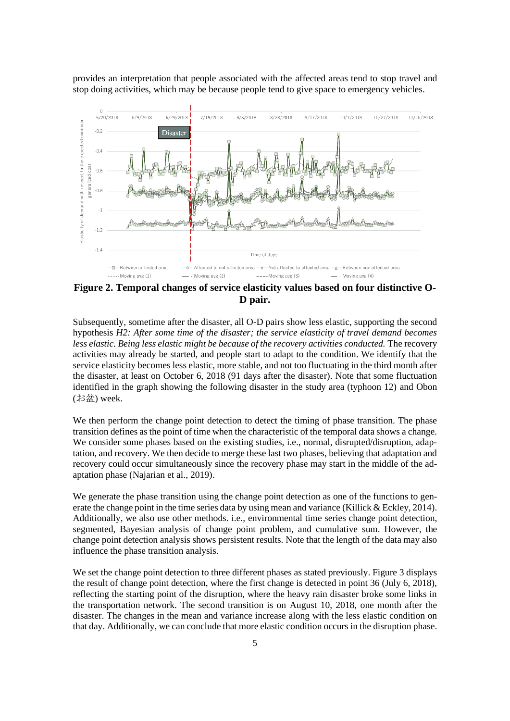provides an interpretation that people associated with the affected areas tend to stop travel and stop doing activities, which may be because people tend to give space to emergency vehicles.



**Figure 2. Temporal changes of service elasticity values based on four distinctive O-D pair.**

Subsequently, sometime after the disaster, all O-D pairs show less elastic, supporting the second hypothesis *H2: After some time of the disaster; the service elasticity of travel demand becomes less elastic. Being less elastic might be because of the recovery activities conducted.* The recovery activities may already be started, and people start to adapt to the condition. We identify that the service elasticity becomes less elastic, more stable, and not too fluctuating in the third month after the disaster, at least on October 6, 2018 (91 days after the disaster). Note that some fluctuation identified in the graph showing the following disaster in the study area (typhoon 12) and Obon (お盆) week.

We then perform the change point detection to detect the timing of phase transition. The phase transition defines as the point of time when the characteristic of the temporal data shows a change. We consider some phases based on the existing studies, i.e., normal, disrupted/disruption, adaptation, and recovery. We then decide to merge these last two phases, believing that adaptation and recovery could occur simultaneously since the recovery phase may start in the middle of the adaptation phase (Najarian et al., 2019).

We generate the phase transition using the change point detection as one of the functions to generate the change point in the time series data by using mean and variance (Killick & Eckley, 2014). Additionally, we also use other methods. i.e., environmental time series change point detection, segmented, Bayesian analysis of change point problem, and cumulative sum. However, the change point detection analysis shows persistent results. Note that the length of the data may also influence the phase transition analysis.

We set the change point detection to three different phases as stated previously. Figure 3 displays the result of change point detection, where the first change is detected in point 36 (July 6, 2018), reflecting the starting point of the disruption, where the heavy rain disaster broke some links in the transportation network. The second transition is on August 10, 2018, one month after the disaster. The changes in the mean and variance increase along with the less elastic condition on that day. Additionally, we can conclude that more elastic condition occurs in the disruption phase.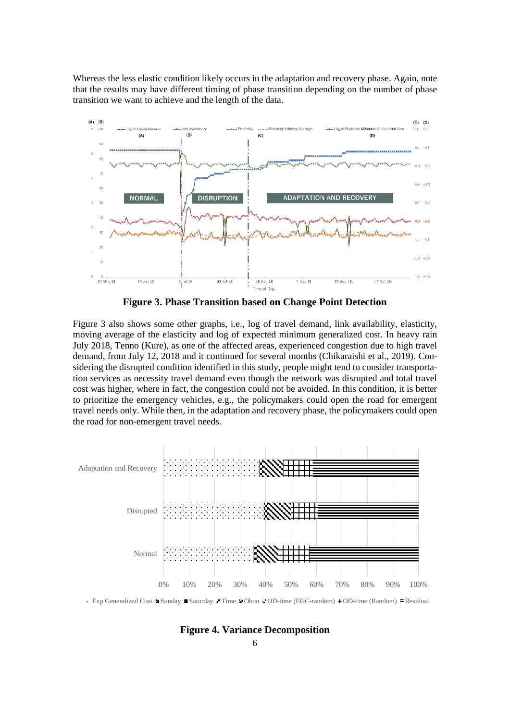Whereas the less elastic condition likely occurs in the adaptation and recovery phase. Again, note that the results may have different timing of phase transition depending on the number of phase transition we want to achieve and the length of the data.



**Figure 3. Phase Transition based on Change Point Detection**

Figure 3 also shows some other graphs, i.e., log of travel demand, link availability, elasticity, moving average of the elasticity and log of expected minimum generalized cost. In heavy rain July 2018, Tenno (Kure), as one of the affected areas, experienced congestion due to high travel demand, from July 12, 2018 and it continued for several months (Chikaraishi et al., 2019). Considering the disrupted condition identified in this study, people might tend to consider transportation services as necessity travel demand even though the network was disrupted and total travel cost was higher, where in fact, the congestion could not be avoided. In this condition, it is better to prioritize the emergency vehicles, e.g., the policymakers could open the road for emergent travel needs only. While then, in the adaptation and recovery phase, the policymakers could open the road for non-emergent travel needs.



Exp Generalized Cost  $\mathbb{R}$  Sunday  $\blacksquare$  Saturday Time  $\blacksquare$  Obon  $\blacksquare$  OD-time (EGC-random)  $\blacksquare$  OD-time (Random)  $\blacksquare$  Residual

**Figure 4. Variance Decomposition**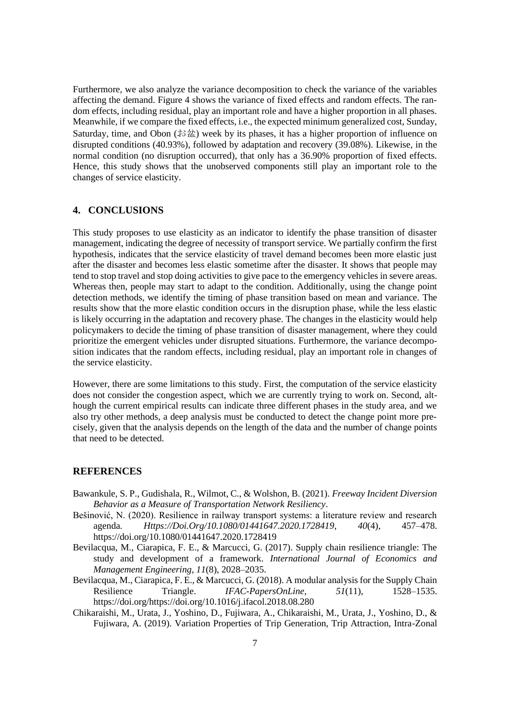Furthermore, we also analyze the variance decomposition to check the variance of the variables affecting the demand. Figure 4 shows the variance of fixed effects and random effects. The random effects, including residual, play an important role and have a higher proportion in all phases. Meanwhile, if we compare the fixed effects, i.e., the expected minimum generalized cost, Sunday, Saturday, time, and Obon  $(\text{B2})$  week by its phases, it has a higher proportion of influence on disrupted conditions (40.93%), followed by adaptation and recovery (39.08%). Likewise, in the normal condition (no disruption occurred), that only has a 36.90% proportion of fixed effects. Hence, this study shows that the unobserved components still play an important role to the changes of service elasticity.

# **4. CONCLUSIONS**

This study proposes to use elasticity as an indicator to identify the phase transition of disaster management, indicating the degree of necessity of transport service. We partially confirm the first hypothesis, indicates that the service elasticity of travel demand becomes been more elastic just after the disaster and becomes less elastic sometime after the disaster. It shows that people may tend to stop travel and stop doing activities to give pace to the emergency vehicles in severe areas. Whereas then, people may start to adapt to the condition. Additionally, using the change point detection methods, we identify the timing of phase transition based on mean and variance. The results show that the more elastic condition occurs in the disruption phase, while the less elastic is likely occurring in the adaptation and recovery phase. The changes in the elasticity would help policymakers to decide the timing of phase transition of disaster management, where they could prioritize the emergent vehicles under disrupted situations. Furthermore, the variance decomposition indicates that the random effects, including residual, play an important role in changes of the service elasticity.

However, there are some limitations to this study. First, the computation of the service elasticity does not consider the congestion aspect, which we are currently trying to work on. Second, although the current empirical results can indicate three different phases in the study area, and we also try other methods, a deep analysis must be conducted to detect the change point more precisely, given that the analysis depends on the length of the data and the number of change points that need to be detected.

### **REFERENCES**

- Bawankule, S. P., Gudishala, R., Wilmot, C., & Wolshon, B. (2021). *Freeway Incident Diversion Behavior as a Measure of Transportation Network Resiliency*.
- Bešinović, N. (2020). Resilience in railway transport systems: a literature review and research agenda. *Https://Doi.Org/10.1080/01441647.2020.1728419*, *40*(4), 457–478. https://doi.org/10.1080/01441647.2020.1728419
- Bevilacqua, M., Ciarapica, F. E., & Marcucci, G. (2017). Supply chain resilience triangle: The study and development of a framework. *International Journal of Economics and Management Engineering*, *11*(8), 2028–2035.
- Bevilacqua, M., Ciarapica, F. E., & Marcucci, G. (2018). A modular analysis for the Supply Chain Resilience Triangle. *IFAC-PapersOnLine*, *51*(11), 1528–1535. https://doi.org/https://doi.org/10.1016/j.ifacol.2018.08.280
- Chikaraishi, M., Urata, J., Yoshino, D., Fujiwara, A., Chikaraishi, M., Urata, J., Yoshino, D., & Fujiwara, A. (2019). Variation Properties of Trip Generation, Trip Attraction, Intra-Zonal